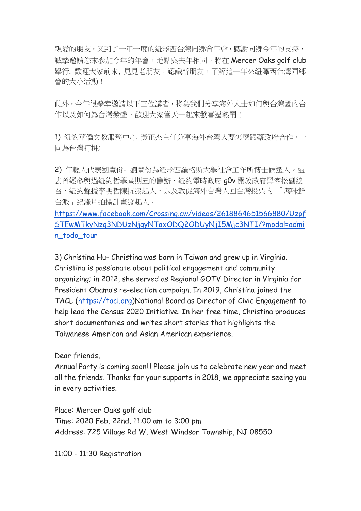親愛的朋友,又到了一年一度的紐澤西台灣同鄉會年會,感謝同鄉今年的支持, 誠摯邀請您來參加今年的年會,地點與去年相同,將在 Mercer Oaks golf club 舉行. 歡迎大家前來, 見見老朋友,認識新朋友, 了解這一年來紐澤西台灣同鄉 會的大小活動!

此外,今年很榮幸邀請以下三位講者,將為我們分享海外人士如何與台灣國內合 作以及如何為台灣發聲。歡迎大家當天一起來歡喜逗熱鬧!

1) 紐約華僑文教服務中心 黃正杰主任分享海外台灣人要怎麼跟蔡政府合作,一 同為台灣打拼;

2) 年輕人代表劉豐佾- 劉豐佾為紐澤西羅格斯大學社會工作所博士候選人。過 去曾經參與過紐約哲學星期五的籌辦、紐約零時政府 g0v 開放政府黑客松副總 召、紐約聲援李明哲陳抗發起人,以及敦促海外台灣人回台灣投票的 「海味鮮 台派」紀錄片拍攝計畫發起人。

[https://www.facebook.com/Crossing.cw/videos/2618864651566880/Uzpf](https://www.facebook.com/Crossing.cw/videos/2618864651566880/UzpfSTEwMTkyNzg3NDUzNjgyNToxODQ2ODUyNjI5Mjc3NTI/?modal=admin_todo_tour) [STEwMTkyNzg3NDUzNjgyNToxODQ2ODUyNjI5Mjc3NTI/?modal=admi](https://www.facebook.com/Crossing.cw/videos/2618864651566880/UzpfSTEwMTkyNzg3NDUzNjgyNToxODQ2ODUyNjI5Mjc3NTI/?modal=admin_todo_tour) [n\\_todo\\_tour](https://www.facebook.com/Crossing.cw/videos/2618864651566880/UzpfSTEwMTkyNzg3NDUzNjgyNToxODQ2ODUyNjI5Mjc3NTI/?modal=admin_todo_tour)

3) Christina Hu- Christina was born in Taiwan and grew up in Virginia. Christina is passionate about political engagement and community organizing; in 2012, she served as Regional GOTV Director in Virginia for President Obama's re-election campaign. In 2019, Christina joined the TACL [\(https://tacl.org\)](https://tacl.org/)National Board as Director of Civic Engagement to help lead the Census 2020 Initiative. In her free time, Christina produces short documentaries and writes short stories that highlights the Taiwanese American and Asian American experience.

Dear friends.

Annual Party is coming soon!!! Please join us to celebrate new year and meet all the friends. Thanks for your supports in 2018, we appreciate seeing you in every activities.

Place: Mercer Oaks golf club Time: 2020 Feb. 22nd, 11:00 am to 3:00 pm Address: 725 Village Rd W, West Windsor Township, NJ 08550

11:00 - 11:30 Registration